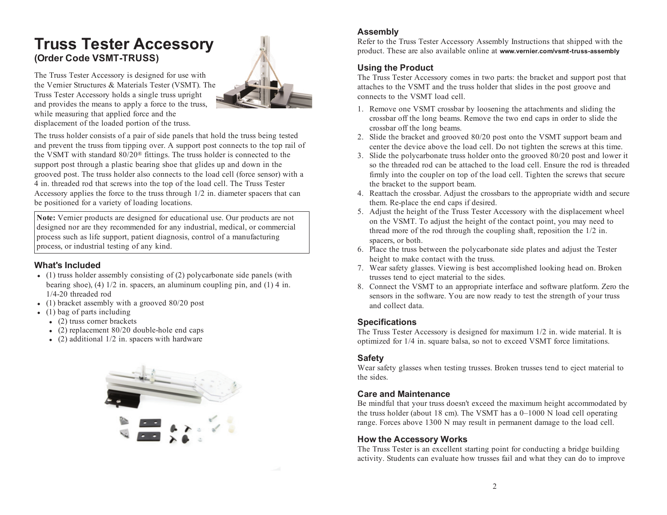# **Truss Tester Accessory (Order Code VSMT-TRUSS)**

The Truss Tester Accessory is designed for use with the Vernier Structures & Materials Tester (VSMT). The Truss Tester Accessory holds <sup>a</sup> single truss upright and provides the means to apply <sup>a</sup> force to the truss, while measuring that applied force and the displacement of the loaded portion of the truss.

The truss holder consists of <sup>a</sup> pair of side panels that hold the truss being tested and preven<sup>t</sup> the truss from tipping over. A support pos<sup>t</sup> connects to the top rail of the VSMT with standard 80/20 ® fittings. The truss holder is connected to the support pos<sup>t</sup> through <sup>a</sup> plastic bearing shoe that glides up and down in the grooved post. The truss holder also connects to the load cell (force sensor) with <sup>a</sup> 4 in. threaded rod that screws into the top of the load cell. The Truss Tester Accessory applies the force to the truss through 1/2 in. diameter spacers that can be positioned for <sup>a</sup> variety of loading locations.

**Note:** Vernier products are designed for educational use. Our products are not designed nor are they recommended for any industrial, medical, or commercial process such as life support, patient diagnosis, control of <sup>a</sup> manufacturing process, or industrial testing of any kind.

### **What's Included**

- (1) truss holder assembly consisting of (2) polycarbonate side panels (with bearing shoe), (4) 1/2 in. spacers, an aluminum coupling pin, and (1) 4 in. 1/4-20 threaded rod
- (1) bracket assembly with <sup>a</sup> grooved 80/20 pos<sup>t</sup>
- (1) bag of parts including
	- (2) truss corner brackets
	- (2) replacement 80/20 double-hole end caps
	- (2) additional 1/2 in. spacers with hardware





Refer to the Truss Tester Accessory Assembly Instructions that shipped with the product. These are also available online at **www.vernier.com/vsmt-truss-assembly**

## **Using the Product**

The Truss Tester Accessory comes in two parts: the bracket and support pos<sup>t</sup> that attaches to the VSMT and the truss holder that slides in the pos<sup>t</sup> groove and connects to the VSMT load cell.

- 1. Remove one VSMT crossbar by loosening the attachments and sliding the crossbar off the long beams. Remove the two end caps in order to slide the crossbar off the long beams.
- 2. Slide the bracket and grooved 80/20 pos<sup>t</sup> onto the VSMT support beam and center the device above the load cell. Do not tighten the screws at this time.
- 3. Slide the polycarbonate truss holder onto the grooved 80/20 pos<sup>t</sup> and lower it so the threaded rod can be attached to the load cell. Ensure the rod is threadedfirmly into the coupler on top of the load cell. Tighten the screws that secure the bracket to the support beam.
- 4. Reattach the crossbar. Adjust the crossbars to the appropriate width and secure them. Re-place the end caps if desired.
- 5. Adjust the height of the Truss Tester Accessory with the displacement wheel on the VSMT. To adjust the height of the contact point, you may need to thread more of the rod through the coupling shaft, reposition the 1/2 in. spacers, or both.
- 6. Place the truss between the polycarbonate side plates and adjust the Tester height to make contact with the truss.
- 7. Wear safety glasses. Viewing is best accomplished looking head on. Broken trusses tend to eject material to the sides.
- 8. Connect the VSMT to an appropriate interface and software platform. Zero the sensors in the software. You are now ready to test the strength of your truss and collect data.

### **Specifications**

The Truss Tester Accessory is designed for maximum 1/2 in. wide material. It is optimized for 1/4 in. square balsa, so not to exceed VSMT force limitations.

### **Safety**

Wear safety glasses when testing trusses. Broken trusses tend to eject material to the sides.

### **Care and Maintenance**

Be mindful that your truss doesn't exceed the maximum height accommodated by the truss holder (about 18 cm). The VSMT has <sup>a</sup> 0–1000 N load cell operating range. Forces above 1300 N may result in permanen<sup>t</sup> damage to the load cell.

### **How the Accessory Works**

The Truss Tester is an excellent starting point for conducting <sup>a</sup> bridge building activity. Students can evaluate how trusses fail and what they can do to improve